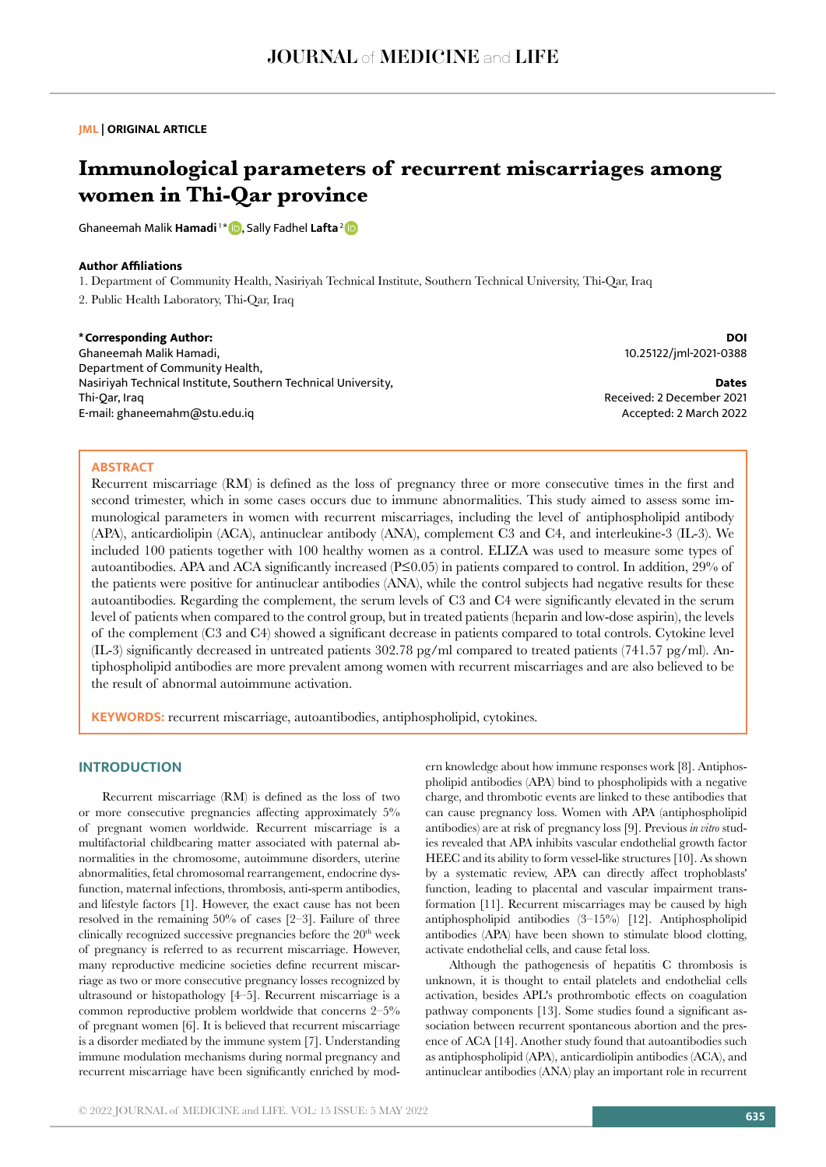### **JML | ORIGINAL ARTICLE**

# **Immunological parameters of recurrent miscarriages among women in Thi-Qar province**

Ghaneemah Malik **Hamadi**<sup>1\*</sup> **D**, Sally Fadhel Lafta<sup>[2](https://orcid.org/0000-0002-3985-0710)</sup> D

# **Author Affiliations**

1. Department of Community Health, Nasiriyah Technical Institute, Southern Technical University, Thi-Qar, Iraq

2. Public Health Laboratory, Thi-Qar, Iraq

**\*Corresponding Author:** Ghaneemah Malik Hamadi, Department of Community Health, Nasiriyah Technical Institute, Southern Technical University, Thi-Qar, Iraq E-mail: ghaneemahm@stu.edu.iq

**DOI** 10.25122/jml-2021-0388

**Dates** Received: 2 December 2021 Accepted: 2 March 2022

### **ABSTRACT**

Recurrent miscarriage (RM) is defined as the loss of pregnancy three or more consecutive times in the first and second trimester, which in some cases occurs due to immune abnormalities. This study aimed to assess some immunological parameters in women with recurrent miscarriages, including the level of antiphospholipid antibody (APA), anticardiolipin (ACA), antinuclear antibody (ANA), complement C3 and C4, and interleukine-3 (IL-3). We included 100 patients together with 100 healthy women as a control. ELIZA was used to measure some types of autoantibodies. APA and ACA significantly increased (P≤0.05) in patients compared to control. In addition, 29% of the patients were positive for antinuclear antibodies (ANA), while the control subjects had negative results for these autoantibodies. Regarding the complement, the serum levels of C3 and C4 were significantly elevated in the serum level of patients when compared to the control group, but in treated patients (heparin and low-dose aspirin), the levels of the complement (C3 and C4) showed a significant decrease in patients compared to total controls. Cytokine level (IL-3) significantly decreased in untreated patients 302.78 pg/ml compared to treated patients (741.57 pg/ml). Antiphospholipid antibodies are more prevalent among women with recurrent miscarriages and are also believed to be the result of abnormal autoimmune activation.

**KEYWORDS:** recurrent miscarriage, autoantibodies, antiphospholipid, cytokines.

# **INTRODUCTION**

Recurrent miscarriage (RM) is defined as the loss of two or more consecutive pregnancies affecting approximately 5% of pregnant women worldwide. Recurrent miscarriage is a multifactorial childbearing matter associated with paternal abnormalities in the chromosome, autoimmune disorders, uterine abnormalities, fetal chromosomal rearrangement, endocrine dysfunction, maternal infections, thrombosis, anti-sperm antibodies, and lifestyle factors [1]. However, the exact cause has not been resolved in the remaining 50% of cases [2–3]. Failure of three clinically recognized successive pregnancies before the 20th week of pregnancy is referred to as recurrent miscarriage. However, many reproductive medicine societies define recurrent miscarriage as two or more consecutive pregnancy losses recognized by ultrasound or histopathology [4–5]. Recurrent miscarriage is a common reproductive problem worldwide that concerns 2–5% of pregnant women [6]. It is believed that recurrent miscarriage is a disorder mediated by the immune system [7]. Understanding immune modulation mechanisms during normal pregnancy and recurrent miscarriage have been significantly enriched by mod-

ern knowledge about how immune responses work [8]. Antiphospholipid antibodies (APA) bind to phospholipids with a negative charge, and thrombotic events are linked to these antibodies that can cause pregnancy loss. Women with APA (antiphospholipid antibodies) are at risk of pregnancy loss [9]. Previous *in vitro* studies revealed that APA inhibits vascular endothelial growth factor HEEC and its ability to form vessel-like structures [10]. As shown by a systematic review, APA can directly affect trophoblasts' function, leading to placental and vascular impairment transformation [11]. Recurrent miscarriages may be caused by high antiphospholipid antibodies (3–15%) [12]. Antiphospholipid antibodies (APA) have been shown to stimulate blood clotting, activate endothelial cells, and cause fetal loss.

Although the pathogenesis of hepatitis C thrombosis is unknown, it is thought to entail platelets and endothelial cells activation, besides APL's prothrombotic effects on coagulation pathway components [13]. Some studies found a significant association between recurrent spontaneous abortion and the presence of ACA [14]. Another study found that autoantibodies such as antiphospholipid (APA), anticardiolipin antibodies (ACA), and antinuclear antibodies (ANA) play an important role in recurrent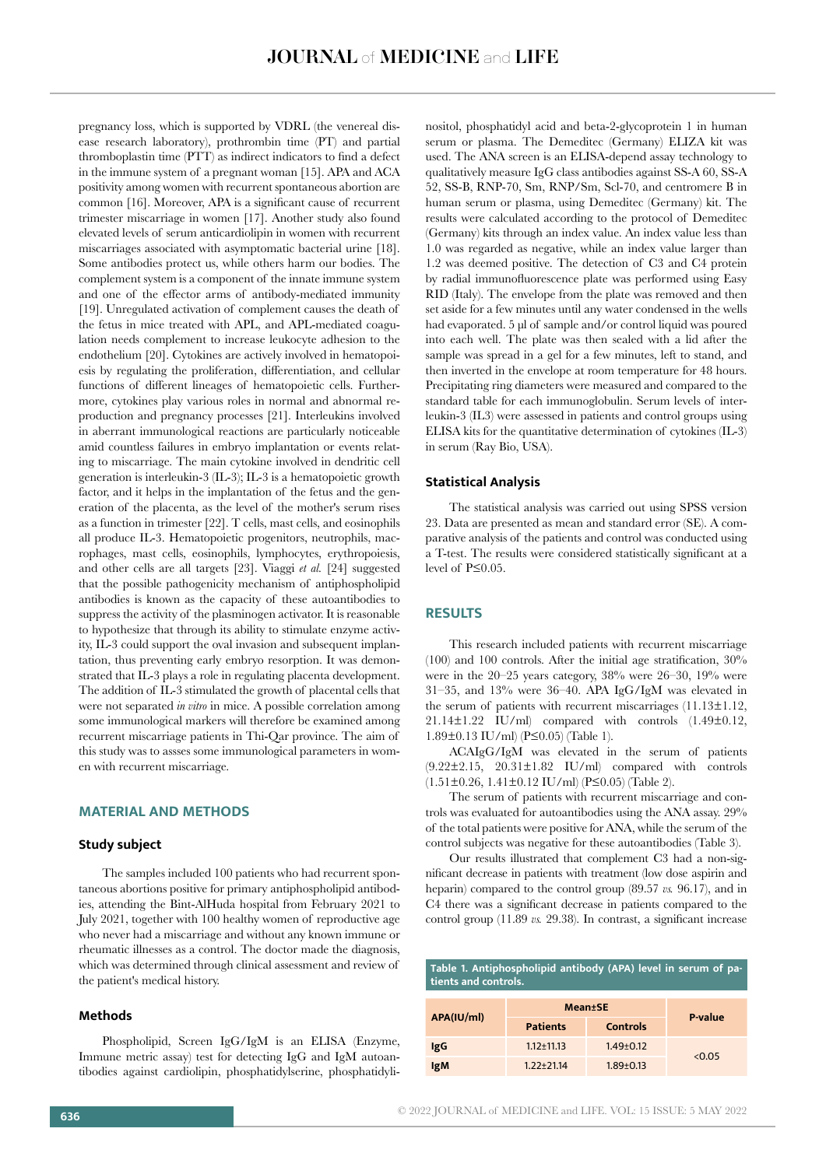pregnancy loss, which is supported by VDRL (the venereal disease research laboratory), prothrombin time (PT) and partial thromboplastin time (PTT) as indirect indicators to find a defect in the immune system of a pregnant woman [15]. APA and ACA positivity among women with recurrent spontaneous abortion are common [16]. Moreover, APA is a significant cause of recurrent trimester miscarriage in women [17]. Another study also found elevated levels of serum anticardiolipin in women with recurrent miscarriages associated with asymptomatic bacterial urine [18]. Some antibodies protect us, while others harm our bodies. The complement system is a component of the innate immune system and one of the effector arms of antibody-mediated immunity [19]. Unregulated activation of complement causes the death of the fetus in mice treated with APL, and APL-mediated coagulation needs complement to increase leukocyte adhesion to the endothelium [20]. Cytokines are actively involved in hematopoiesis by regulating the proliferation, differentiation, and cellular functions of different lineages of hematopoietic cells. Furthermore, cytokines play various roles in normal and abnormal reproduction and pregnancy processes [21]. Interleukins involved in aberrant immunological reactions are particularly noticeable amid countless failures in embryo implantation or events relating to miscarriage. The main cytokine involved in dendritic cell generation is interleukin-3 (IL-3); IL-3 is a hematopoietic growth factor, and it helps in the implantation of the fetus and the generation of the placenta, as the level of the mother's serum rises as a function in trimester [22]. T cells, mast cells, and eosinophils all produce IL-3. Hematopoietic progenitors, neutrophils, macrophages, mast cells, eosinophils, lymphocytes, erythropoiesis, and other cells are all targets [23]. Viaggi *et al.* [24] suggested that the possible pathogenicity mechanism of antiphospholipid antibodies is known as the capacity of these autoantibodies to suppress the activity of the plasminogen activator. It is reasonable to hypothesize that through its ability to stimulate enzyme activity, IL-3 could support the oval invasion and subsequent implantation, thus preventing early embryo resorption. It was demonstrated that IL-3 plays a role in regulating placenta development. The addition of IL-3 stimulated the growth of placental cells that were not separated *in vitro* in mice. A possible correlation among some immunological markers will therefore be examined among recurrent miscarriage patients in Thi-Qar province. The aim of this study was to assses some immunological parameters in women with recurrent miscarriage.

# **MATERIAL AND METHODS**

#### **Study subject**

The samples included 100 patients who had recurrent spontaneous abortions positive for primary antiphospholipid antibodies, attending the Bint-AlHuda hospital from February 2021 to July 2021, together with 100 healthy women of reproductive age who never had a miscarriage and without any known immune or rheumatic illnesses as a control. The doctor made the diagnosis, which was determined through clinical assessment and review of the patient's medical history.

#### **Methods**

Phospholipid, Screen IgG/IgM is an ELISA (Enzyme, Immune metric assay) test for detecting IgG and IgM autoantibodies against cardiolipin, phosphatidylserine, phosphatidyli-

nositol, phosphatidyl acid and beta-2-glycoprotein 1 in human serum or plasma. The Demeditec (Germany) ELIZA kit was used. The ANA screen is an ELISA-depend assay technology to qualitatively measure IgG class antibodies against SS-A 60, SS-A 52, SS-B, RNP-70, Sm, RNP/Sm, Scl-70, and centromere B in human serum or plasma, using Demeditec (Germany) kit. The results were calculated according to the protocol of Demeditec (Germany) kits through an index value. An index value less than 1.0 was regarded as negative, while an index value larger than 1.2 was deemed positive. The detection of C3 and C4 protein by radial immunofluorescence plate was performed using Easy RID (Italy). The envelope from the plate was removed and then set aside for a few minutes until any water condensed in the wells had evaporated. 5 μl of sample and/or control liquid was poured into each well. The plate was then sealed with a lid after the sample was spread in a gel for a few minutes, left to stand, and then inverted in the envelope at room temperature for 48 hours. Precipitating ring diameters were measured and compared to the standard table for each immunoglobulin. Serum levels of interleukin-3 (IL3) were assessed in patients and control groups using ELISA kits for the quantitative determination of cytokines (IL-3) in serum (Ray Bio, USA).

#### **Statistical Analysis**

The statistical analysis was carried out using SPSS version 23. Data are presented as mean and standard error (SE). A comparative analysis of the patients and control was conducted using a T-test. The results were considered statistically significant at a level of P≤0.05.

# **RESULTS**

This research included patients with recurrent miscarriage (100) and 100 controls. After the initial age stratification, 30% were in the 20–25 years category, 38% were 26–30, 19% were 31–35, and 13% were 36–40. APA IgG/IgM was elevated in the serum of patients with recurrent miscarriages (11.13±1.12, 21.14±1.22 IU/ml) compared with controls (1.49±0.12, 1.89±0.13 IU/ml) (P≤0.05) (Table 1).

ACAIgG/IgM was elevated in the serum of patients (9.22±2.15, 20.31±1.82 IU/ml) compared with controls (1.51±0.26, 1.41±0.12 IU/ml) (P≤0.05) (Table 2).

The serum of patients with recurrent miscarriage and controls was evaluated for autoantibodies using the ANA assay. 29% of the total patients were positive for ANA, while the serum of the control subjects was negative for these autoantibodies (Table 3).

Our results illustrated that complement C3 had a non-significant decrease in patients with treatment (low dose aspirin and heparin) compared to the control group (89.57 *vs.* 96.17), and in C4 there was a significant decrease in patients compared to the control group (11.89 *vs.* 29.38). In contrast, a significant increase

| Table 1. Antiphospholipid antibody (APA) level in serum of pa-<br>tients and controls. |                  |                 |         |  |
|----------------------------------------------------------------------------------------|------------------|-----------------|---------|--|
| APA(IU/ml)                                                                             | <b>Mean</b> ±SE  |                 |         |  |
|                                                                                        | <b>Patients</b>  | <b>Controls</b> | P-value |  |
| IgG                                                                                    | $1.12 \pm 11.13$ | $1.49 \pm 0.12$ | < 0.05  |  |
| <b>IgM</b>                                                                             | $1.22 \pm 21.14$ | $1.89 \pm 0.13$ |         |  |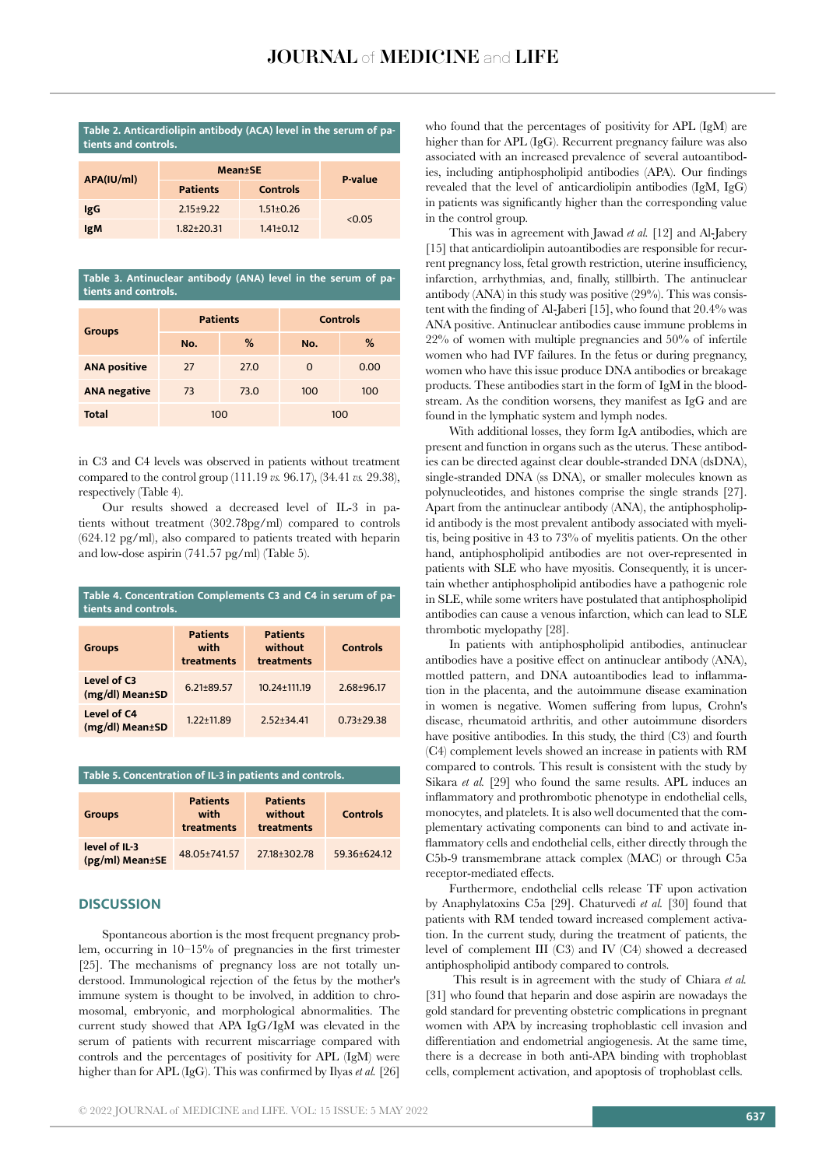| Table 2. Anticardiolipin antibody (ACA) level in the serum of pa- |  |  |  |
|-------------------------------------------------------------------|--|--|--|
| tients and controls.                                              |  |  |  |

| APA(IU/ml) | <b>Mean</b> <sup>t</sup> SE | <b>P</b> -value |        |
|------------|-----------------------------|-----------------|--------|
|            | <b>Patients</b>             | <b>Controls</b> |        |
| IgG        | $2.15+9.22$                 | $1.51 \pm 0.26$ | < 0.05 |
| <b>IgM</b> | $1.82 \pm 20.31$            | $1.41 \pm 0.12$ |        |

**Table 3. Antinuclear antibody (ANA) level in the serum of patients and controls.**

| <b>Groups</b>       | <b>Patients</b> |      | <b>Controls</b> |      |
|---------------------|-----------------|------|-----------------|------|
|                     | No.             | %    | No.             | %    |
| <b>ANA positive</b> | 27              | 27.0 | $\Omega$        | 0.00 |
| <b>ANA negative</b> | 73              | 73.0 | 100             | 100  |
| <b>Total</b>        | 100             |      | 100             |      |

in C3 and C4 levels was observed in patients without treatment compared to the control group (111.19 *vs.* 96.17), (34.41 *vs.* 29.38), respectively (Table 4).

Our results showed a decreased level of IL-3 in patients without treatment (302.78pg/ml) compared to controls (624.12 pg/ml), also compared to patients treated with heparin and low-dose aspirin (741.57 pg/ml) (Table 5).

| Table 4. Concentration Complements C3 and C4 in serum of pa-<br>tients and controls. |                                                                                   |                    |                |  |
|--------------------------------------------------------------------------------------|-----------------------------------------------------------------------------------|--------------------|----------------|--|
| <b>Groups</b>                                                                        | <b>Patients</b><br><b>Patients</b><br>without<br>with<br>treatments<br>treatments |                    | Controls       |  |
| Level of C3<br>(mg/dl) Mean±SD                                                       | $6.21 \pm 89.57$                                                                  | $10.24 \pm 111.19$ | $2.68 + 96.17$ |  |
| Level of C4<br>(mg/dl) Mean±SD                                                       | $1.22 \pm 11.89$                                                                  | $2.52 + 34.41$     | $0.73 + 29.38$ |  |

**Table 5. Concentration of IL-3 in patients and controls.**

| <b>Groups</b>                    | <b>Patients</b><br>with<br>treatments | <b>Patients</b><br>without<br>treatments | <b>Controls</b> |
|----------------------------------|---------------------------------------|------------------------------------------|-----------------|
| level of IL-3<br>(pg/ml) Mean±SE | 48.05±741.57                          | 27.18 ± 302.78                           | 59.36±624.12    |

# **DISCUSSION**

Spontaneous abortion is the most frequent pregnancy problem, occurring in 10–15% of pregnancies in the first trimester [25]. The mechanisms of pregnancy loss are not totally understood. Immunological rejection of the fetus by the mother's immune system is thought to be involved, in addition to chromosomal, embryonic, and morphological abnormalities. The current study showed that APA IgG/IgM was elevated in the serum of patients with recurrent miscarriage compared with controls and the percentages of positivity for APL (IgM) were higher than for APL (IgG). This was confirmed by Ilyas *et al.* [26]

who found that the percentages of positivity for APL (IgM) are higher than for APL (IgG). Recurrent pregnancy failure was also associated with an increased prevalence of several autoantibodies, including antiphospholipid antibodies (APA). Our findings revealed that the level of anticardiolipin antibodies (IgM, IgG) in patients was significantly higher than the corresponding value in the control group.

This was in agreement with Jawad *et al.* [12] and Al-Jabery [15] that anticardiolipin autoantibodies are responsible for recurrent pregnancy loss, fetal growth restriction, uterine insufficiency, infarction, arrhythmias, and, finally, stillbirth. The antinuclear antibody (ANA) in this study was positive (29%). This was consistent with the finding of Al-Jaberi [15], who found that 20.4% was ANA positive. Antinuclear antibodies cause immune problems in 22% of women with multiple pregnancies and 50% of infertile women who had IVF failures. In the fetus or during pregnancy, women who have this issue produce DNA antibodies or breakage products. These antibodies start in the form of IgM in the bloodstream. As the condition worsens, they manifest as IgG and are found in the lymphatic system and lymph nodes.

With additional losses, they form IgA antibodies, which are present and function in organs such as the uterus. These antibodies can be directed against clear double-stranded DNA (dsDNA), single-stranded DNA (ss DNA), or smaller molecules known as polynucleotides, and histones comprise the single strands [27]. Apart from the antinuclear antibody (ANA), the antiphospholipid antibody is the most prevalent antibody associated with myelitis, being positive in 43 to 73% of myelitis patients. On the other hand, antiphospholipid antibodies are not over-represented in patients with SLE who have myositis. Consequently, it is uncertain whether antiphospholipid antibodies have a pathogenic role in SLE, while some writers have postulated that antiphospholipid antibodies can cause a venous infarction, which can lead to SLE thrombotic myelopathy [28].

In patients with antiphospholipid antibodies, antinuclear antibodies have a positive effect on antinuclear antibody (ANA), mottled pattern, and DNA autoantibodies lead to inflammation in the placenta, and the autoimmune disease examination in women is negative. Women suffering from lupus, Crohn's disease, rheumatoid arthritis, and other autoimmune disorders have positive antibodies. In this study, the third (C3) and fourth (C4) complement levels showed an increase in patients with RM compared to controls. This result is consistent with the study by Sikara *et al.* [29] who found the same results. APL induces an inflammatory and prothrombotic phenotype in endothelial cells, monocytes, and platelets. It is also well documented that the complementary activating components can bind to and activate inflammatory cells and endothelial cells, either directly through the C5b-9 transmembrane attack complex (MAC) or through C5a receptor-mediated effects.

Furthermore, endothelial cells release TF upon activation by Anaphylatoxins C5a [29]. Chaturvedi *et al.* [30] found that patients with RM tended toward increased complement activation. In the current study, during the treatment of patients, the level of complement III (C3) and IV (C4) showed a decreased antiphospholipid antibody compared to controls.

 This result is in agreement with the study of Chiara *et al.* [31] who found that heparin and dose aspirin are nowadays the gold standard for preventing obstetric complications in pregnant women with APA by increasing trophoblastic cell invasion and differentiation and endometrial angiogenesis. At the same time, there is a decrease in both anti-APA binding with trophoblast cells, complement activation, and apoptosis of trophoblast cells.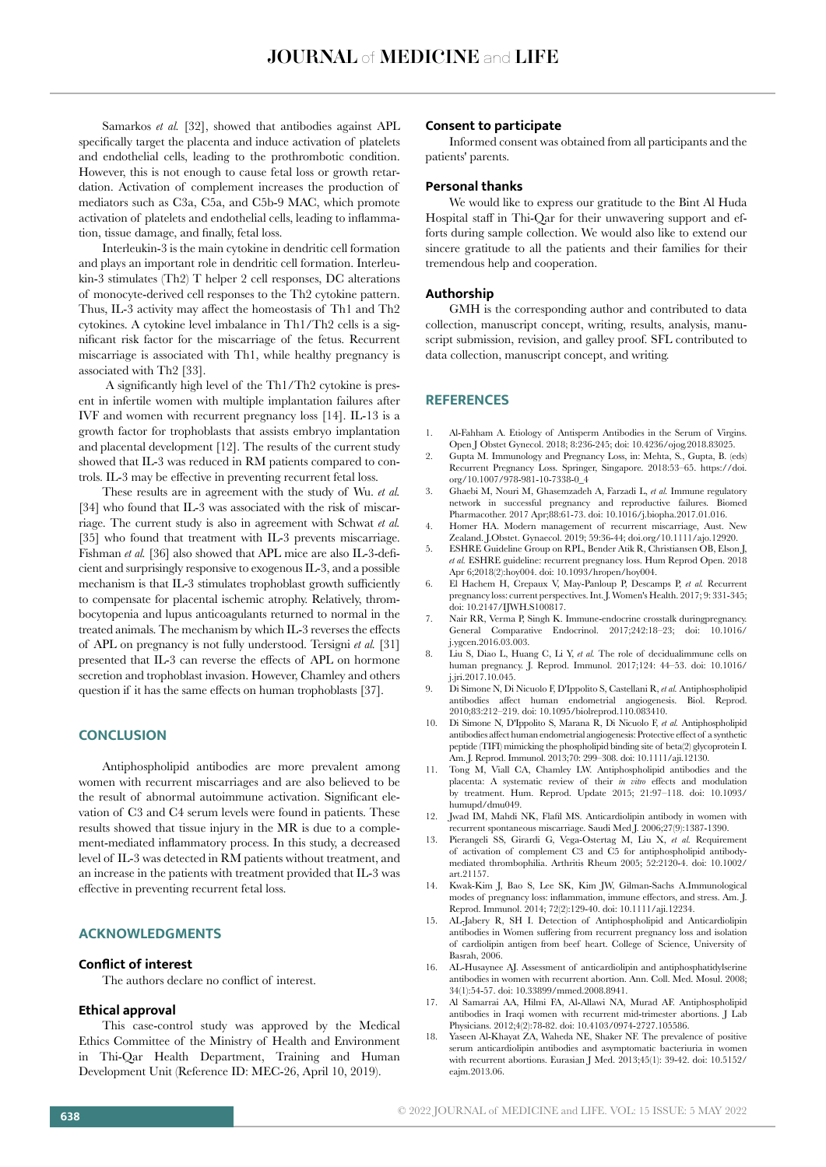Samarkos *et al.* [32], showed that antibodies against APL specifically target the placenta and induce activation of platelets and endothelial cells, leading to the prothrombotic condition. However, this is not enough to cause fetal loss or growth retardation. Activation of complement increases the production of mediators such as C3a, C5a, and C5b-9 MAC, which promote activation of platelets and endothelial cells, leading to inflammation, tissue damage, and finally, fetal loss.

Interleukin-3 is the main cytokine in dendritic cell formation and plays an important role in dendritic cell formation. Interleukin-3 stimulates (Th2) T helper 2 cell responses, DC alterations of monocyte-derived cell responses to the Th2 cytokine pattern. Thus, IL-3 activity may affect the homeostasis of Th1 and Th2 cytokines. A cytokine level imbalance in Th1/Th2 cells is a significant risk factor for the miscarriage of the fetus. Recurrent miscarriage is associated with Th1, while healthy pregnancy is associated with Th2 [33].

 A significantly high level of the Th1/Th2 cytokine is present in infertile women with multiple implantation failures after IVF and women with recurrent pregnancy loss [14]. IL-13 is a growth factor for trophoblasts that assists embryo implantation and placental development [12]. The results of the current study showed that IL-3 was reduced in RM patients compared to controls. IL-3 may be effective in preventing recurrent fetal loss.

These results are in agreement with the study of Wu. *et al.* [34] who found that IL-3 was associated with the risk of miscarriage. The current study is also in agreement with Schwat *et al.* [35] who found that treatment with IL-3 prevents miscarriage. Fishman *et al.* [36] also showed that APL mice are also IL-3-deficient and surprisingly responsive to exogenous IL-3, and a possible mechanism is that IL-3 stimulates trophoblast growth sufficiently to compensate for placental ischemic atrophy. Relatively, thrombocytopenia and lupus anticoagulants returned to normal in the treated animals. The mechanism by which IL-3 reverses the effects of APL on pregnancy is not fully understood. Tersigni *et al.* [31] presented that IL-3 can reverse the effects of APL on hormone secretion and trophoblast invasion. However, Chamley and others question if it has the same effects on human trophoblasts [37].

### **CONCLUSION**

Antiphospholipid antibodies are more prevalent among women with recurrent miscarriages and are also believed to be the result of abnormal autoimmune activation. Significant elevation of C3 and C4 serum levels were found in patients. These results showed that tissue injury in the MR is due to a complement-mediated inflammatory process. In this study, a decreased level of IL-3 was detected in RM patients without treatment, and an increase in the patients with treatment provided that IL-3 was effective in preventing recurrent fetal loss.

# **ACKNOWLEDGMENTS**

#### **Conflict of interest**

The authors declare no conflict of interest.

#### **Ethical approval**

This case-control study was approved by the Medical Ethics Committee of the Ministry of Health and Environment in Thi-Qar Health Department, Training and Human Development Unit (Reference ID: MEC-26, April 10, 2019).

#### **Consent to participate**

Informed consent was obtained from all participants and the patients' parents.

#### **Personal thanks**

We would like to express our gratitude to the Bint Al Huda Hospital staff in Thi-Qar for their unwavering support and efforts during sample collection. We would also like to extend our sincere gratitude to all the patients and their families for their tremendous help and cooperation.

#### **Authorship**

GMH is the corresponding author and contributed to data collection, manuscript concept, writing, results, analysis, manuscript submission, revision, and galley proof. SFL contributed to data collection, manuscript concept, and writing.

# **REFERENCES**

- 1. Al-Fahham A. Etiology of Antisperm Antibodies in the Serum of Virgins. Open J Obstet Gynecol. 2018; 8:236-245; doi: 10.4236/ojog.2018.83025.
- 2. Gupta M. Immunology and Pregnancy Loss, in: Mehta, S., Gupta, B. (eds) Recurrent Pregnancy Loss. Springer, Singapore. 2018:53–65. https://doi. org/10.1007/978-981-10-7338-0\_4
- 3. Ghaebi M, Nouri M, Ghasemzadeh A, Farzadi L, *et al.* Immune regulatory network in successful pregnancy and reproductive failures. Biomed Pharmacother. 2017 Apr;88:61-73. doi: 10.1016/j.biopha.2017.01.016.
- 4. Homer HA. Modern management of recurrent miscarriage, Aust. New Zealand. J.Obstet. Gynaecol. 2019; 59:36-44; doi.org/10.1111/ajo.12920.
- 5. ESHRE Guideline Group on RPL, Bender Atik R, Christiansen OB, Elson J, *et al.* ESHRE guideline: recurrent pregnancy loss. Hum Reprod Open. 2018 Apr 6;2018(2):hoy004. doi: 10.1093/hropen/hoy004.
- 6. El Hachem H, Crepaux V, May-Panloup P, Descamps P, *et al.* Recurrent pregnancy loss: current perspectives. Int. J. Women's Health. 2017; 9: 331-345; doi: 10.2147/IJWH.S100817.
- 7. Nair RR, Verma P, Singh K. Immune-endocrine crosstalk duringpregnancy. General Comparative Endocrinol. 2017;242:18-23; doi: j.ygcen.2016.03.003.
- 8. Liu S, Diao L, Huang C, Li Y, *et al.* The role of decidualimmune cells on human pregnancy. J. Reprod. Immunol. 2017;124: 44–53. doi: 10.1016/ j.jri.2017.10.045.
- 9. Di Simone N, Di Nicuolo F, D'Ippolito S, Castellani R, *et al.* Antiphospholipid antibodies affect human endometrial angiogenesis. Biol. Reprod. 2010;83:212–219. doi: 10.1095/biolreprod.110.083410.
- 10. Di Simone N, D'Ippolito S, Marana R, Di Nicuolo F, *et al.* Antiphospholipid antibodies affect human endometrial angiogenesis: Protective effect of a synthetic peptide (TIFI) mimicking the phospholipid binding site of beta(2) glycoprotein I. Am. J. Reprod. Immunol. 2013;70: 299–308. doi: 10.1111/aji.12130.
- Tong M, Viall CA, Chamley LW. Antiphospholipid antibodies and the placenta: A systematic review of their *in vitro* effects and modulation by treatment. Hum. Reprod. Update 2015; 21:97–118. doi: 10.1093/ humupd/dmu049.
- 12. Jwad IM, Mahdi NK, Flafil MS. Anticardiolipin antibody in women with recurrent spontaneous miscarriage. Saudi Med J. 2006;27(9):1387-1390.
- 13. Pierangeli SS, Girardi G, Vega-Ostertag M, Liu X, *et al.* Requirement of activation of complement C3 and C5 for antiphospholipid antibodymediated thrombophilia. Arthritis Rheum 2005; 52:2120-4. doi: 10.1002/ art.21157.
- 14. Kwak-Kim J, Bao S, Lee SK, Kim JW, Gilman-Sachs A.Immunological modes of pregnancy loss: inflammation, immune effectors, and stress. Am. J. Reprod. Immunol. 2014; 72(2):129-40. doi: 10.1111/aji.12234.
- 15. AL-Jabery R, SH I. Detection of Antiphospholipid and Anticardiolipin antibodies in Women suffering from recurrent pregnancy loss and isolation of cardiolipin antigen from beef heart. College of Science, University of Basrah, 2006.
- 16. AL-Husaynee AJ. Assessment of anticardiolipin and antiphosphatidylserine antibodies in women with recurrent abortion. Ann. Coll. Med. Mosul. 2008; 34(1):54-57. doi: 10.33899/mmed.2008.8941.
- 17. Al Samarrai AA, Hilmi FA, Al-Allawi NA, Murad AF. Antiphospholipid antibodies in Iraqi women with recurrent mid-trimester abortions. J Lab Physicians. 2012;4(2):78-82. doi: 10.4103/0974-2727.105586.
- 18. Yaseen Al-Khayat ZA, Waheda NE, Shaker NF. The prevalence of positive serum anticardiolipin antibodies and asymptomatic bacteriuria in women with recurrent abortions. Eurasian J Med. 2013;45(1): 39-42. doi: 10.5152/ eajm.2013.06.